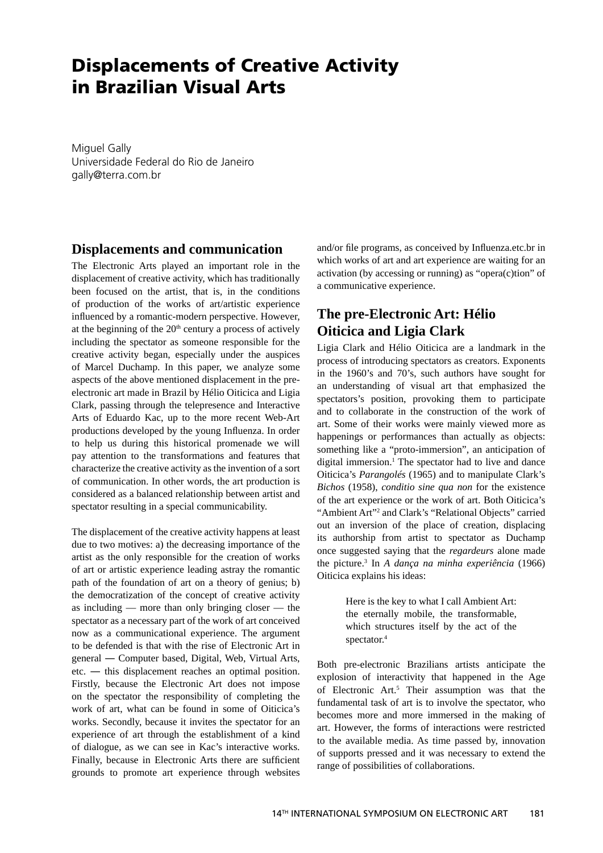# **Displacements of Creative Activity in Brazilian Visual Arts**

Miguel Gally Universidade Federal do Rio de Janeiro gally@terra.com.br

#### **Displacements and communication**

The Electronic Arts played an important role in the displacement of creative activity, which has traditionally been focused on the artist, that is, in the conditions of production of the works of art/artistic experience influenced by a romantic-modern perspective. However, at the beginning of the  $20<sup>th</sup>$  century a process of actively including the spectator as someone responsible for the creative activity began, especially under the auspices of Marcel Duchamp. In this paper, we analyze some aspects of the above mentioned displacement in the preelectronic art made in Brazil by Hélio Oiticica and Ligia Clark, passing through the telepresence and Interactive Arts of Eduardo Kac, up to the more recent Web-Art productions developed by the young Influenza. In order to help us during this historical promenade we will pay attention to the transformations and features that characterize the creative activity as the invention of a sort of communication. In other words, the art production is considered as a balanced relationship between artist and spectator resulting in a special communicability.

The displacement of the creative activity happens at least due to two motives: a) the decreasing importance of the artist as the only responsible for the creation of works of art or artistic experience leading astray the romantic path of the foundation of art on a theory of genius; b) the democratization of the concept of creative activity as including — more than only bringing closer — the spectator as a necessary part of the work of art conceived now as a communicational experience. The argument to be defended is that with the rise of Electronic Art in general ― Computer based, Digital, Web, Virtual Arts, etc. ― this displacement reaches an optimal position. Firstly, because the Electronic Art does not impose on the spectator the responsibility of completing the work of art, what can be found in some of Oiticica's works. Secondly, because it invites the spectator for an experience of art through the establishment of a kind of dialogue, as we can see in Kac's interactive works. Finally, because in Electronic Arts there are sufficient grounds to promote art experience through websites and/or file programs, as conceived by Influenza.etc.br in which works of art and art experience are waiting for an activation (by accessing or running) as "opera(c)tion" of a communicative experience.

## **The pre-Electronic Art: Hélio Oiticica and Ligia Clark**

Ligia Clark and Hélio Oiticica are a landmark in the process of introducing spectators as creators. Exponents in the 1960's and 70's, such authors have sought for an understanding of visual art that emphasized the spectators's position, provoking them to participate and to collaborate in the construction of the work of art. Some of their works were mainly viewed more as happenings or performances than actually as objects: something like a "proto-immersion", an anticipation of digital immersion.<sup>1</sup> The spectator had to live and dance Oiticica's *Parangolés* (1965) and to manipulate Clark's *Bichos* (1958), *conditio sine qua non* for the existence of the art experience or the work of art. Both Oiticica's "Ambient Art"<sup>2</sup> and Clark's "Relational Objects" carried out an inversion of the place of creation, displacing its authorship from artist to spectator as Duchamp once suggested saying that the *regardeurs* alone made the picture.3 In *A dança na minha experiência* (1966) Oiticica explains his ideas:

> Here is the key to what I call Ambient Art: the eternally mobile, the transformable, which structures itself by the act of the spectator.4

Both pre-electronic Brazilians artists anticipate the explosion of interactivity that happened in the Age of Electronic Art.<sup>5</sup> Their assumption was that the fundamental task of art is to involve the spectator, who becomes more and more immersed in the making of art. However, the forms of interactions were restricted to the available media. As time passed by, innovation of supports pressed and it was necessary to extend the range of possibilities of collaborations.